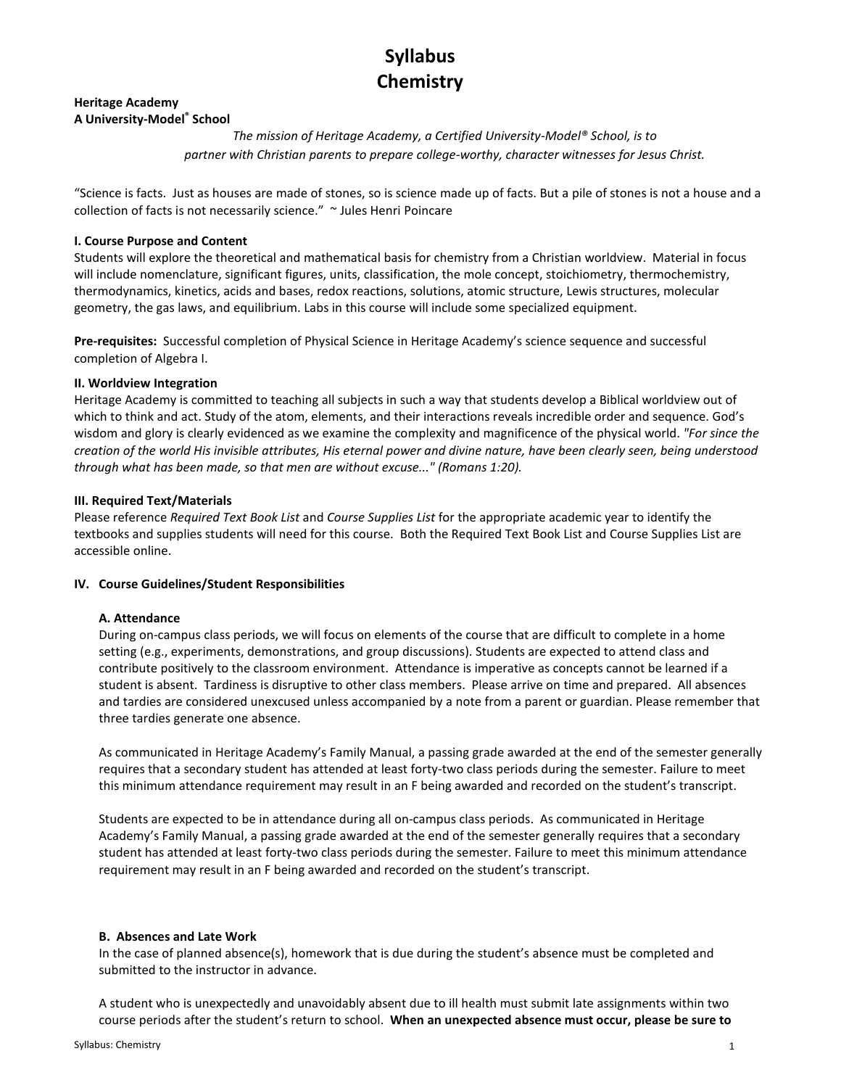# Syllabus **Chemistry**

### Heritage Academy A University-Model® School

The mission of Heritage Academy, a Certified University-Model® School, is to partner with Christian parents to prepare college-worthy, character witnesses for Jesus Christ.

"Science is facts. Just as houses are made of stones, so is science made up of facts. But a pile of stones is not a house and a collection of facts is not necessarily science." ~ Jules Henri Poincare

# I. Course Purpose and Content

Students will explore the theoretical and mathematical basis for chemistry from a Christian worldview. Material in focus will include nomenclature, significant figures, units, classification, the mole concept, stoichiometry, thermochemistry, thermodynamics, kinetics, acids and bases, redox reactions, solutions, atomic structure, Lewis structures, molecular geometry, the gas laws, and equilibrium. Labs in this course will include some specialized equipment.

Pre-requisites: Successful completion of Physical Science in Heritage Academy's science sequence and successful completion of Algebra I.

# II. Worldview Integration

Heritage Academy is committed to teaching all subjects in such a way that students develop a Biblical worldview out of which to think and act. Study of the atom, elements, and their interactions reveals incredible order and sequence. God's wisdom and glory is clearly evidenced as we examine the complexity and magnificence of the physical world. "For since the creation of the world His invisible attributes, His eternal power and divine nature, have been clearly seen, being understood through what has been made, so that men are without excuse..." (Romans 1:20).

# III. Required Text/Materials

Please reference Required Text Book List and Course Supplies List for the appropriate academic year to identify the textbooks and supplies students will need for this course. Both the Required Text Book List and Course Supplies List are accessible online.

# IV. Course Guidelines/Student Responsibilities

# A. Attendance

During on-campus class periods, we will focus on elements of the course that are difficult to complete in a home setting (e.g., experiments, demonstrations, and group discussions). Students are expected to attend class and contribute positively to the classroom environment. Attendance is imperative as concepts cannot be learned if a student is absent. Tardiness is disruptive to other class members. Please arrive on time and prepared. All absences and tardies are considered unexcused unless accompanied by a note from a parent or guardian. Please remember that three tardies generate one absence.

As communicated in Heritage Academy's Family Manual, a passing grade awarded at the end of the semester generally requires that a secondary student has attended at least forty-two class periods during the semester. Failure to meet this minimum attendance requirement may result in an F being awarded and recorded on the student's transcript.

Students are expected to be in attendance during all on-campus class periods. As communicated in Heritage Academy's Family Manual, a passing grade awarded at the end of the semester generally requires that a secondary student has attended at least forty-two class periods during the semester. Failure to meet this minimum attendance requirement may result in an F being awarded and recorded on the student's transcript.

# B. Absences and Late Work

In the case of planned absence(s), homework that is due during the student's absence must be completed and submitted to the instructor in advance.

A student who is unexpectedly and unavoidably absent due to ill health must submit late assignments within two course periods after the student's return to school. When an unexpected absence must occur, please be sure to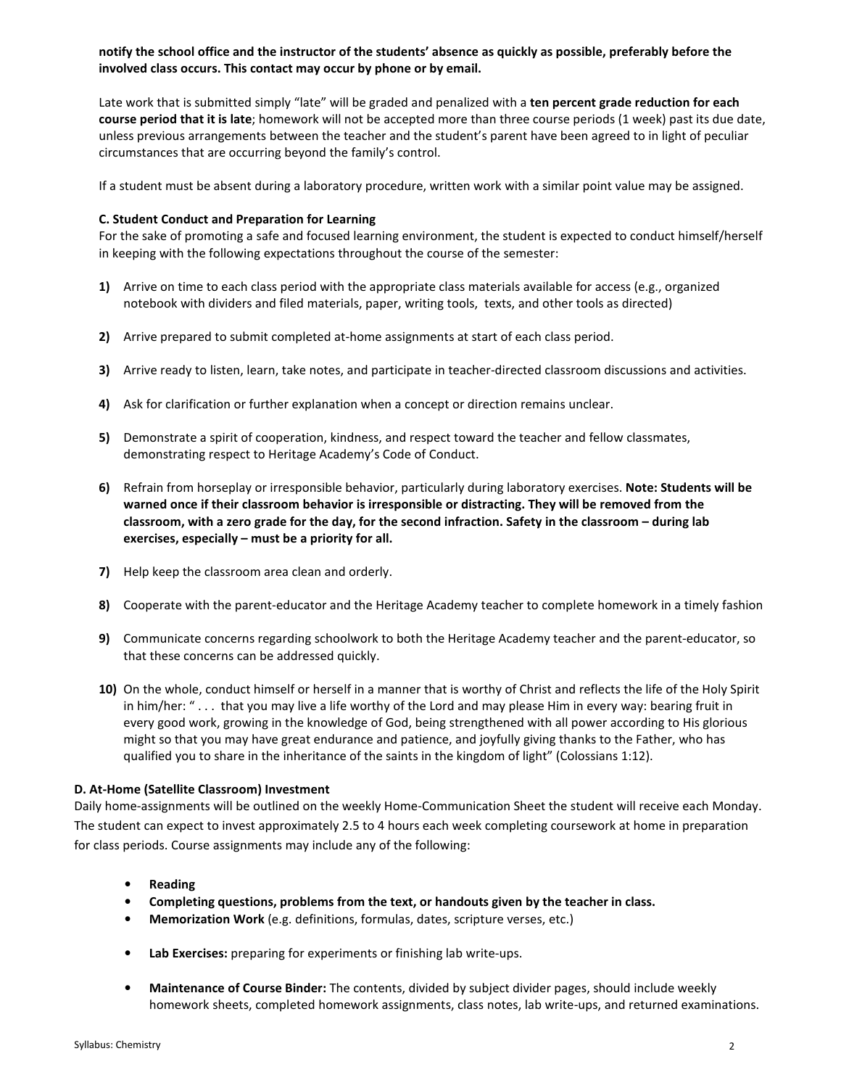# notify the school office and the instructor of the students' absence as quickly as possible, preferably before the involved class occurs. This contact may occur by phone or by email.

Late work that is submitted simply "late" will be graded and penalized with a ten percent grade reduction for each course period that it is late; homework will not be accepted more than three course periods (1 week) past its due date, unless previous arrangements between the teacher and the student's parent have been agreed to in light of peculiar circumstances that are occurring beyond the family's control.

If a student must be absent during a laboratory procedure, written work with a similar point value may be assigned.

### C. Student Conduct and Preparation for Learning

For the sake of promoting a safe and focused learning environment, the student is expected to conduct himself/herself in keeping with the following expectations throughout the course of the semester:

- 1) Arrive on time to each class period with the appropriate class materials available for access (e.g., organized notebook with dividers and filed materials, paper, writing tools, texts, and other tools as directed)
- 2) Arrive prepared to submit completed at-home assignments at start of each class period.
- 3) Arrive ready to listen, learn, take notes, and participate in teacher-directed classroom discussions and activities.
- 4) Ask for clarification or further explanation when a concept or direction remains unclear.
- 5) Demonstrate a spirit of cooperation, kindness, and respect toward the teacher and fellow classmates, demonstrating respect to Heritage Academy's Code of Conduct.
- 6) Refrain from horseplay or irresponsible behavior, particularly during laboratory exercises. Note: Students will be warned once if their classroom behavior is irresponsible or distracting. They will be removed from the classroom, with a zero grade for the day, for the second infraction. Safety in the classroom – during lab exercises, especially – must be a priority for all.
- 7) Help keep the classroom area clean and orderly.
- 8) Cooperate with the parent-educator and the Heritage Academy teacher to complete homework in a timely fashion
- 9) Communicate concerns regarding schoolwork to both the Heritage Academy teacher and the parent-educator, so that these concerns can be addressed quickly.
- 10) On the whole, conduct himself or herself in a manner that is worthy of Christ and reflects the life of the Holy Spirit in him/her: " . . . that you may live a life worthy of the Lord and may please Him in every way: bearing fruit in every good work, growing in the knowledge of God, being strengthened with all power according to His glorious might so that you may have great endurance and patience, and joyfully giving thanks to the Father, who has qualified you to share in the inheritance of the saints in the kingdom of light" (Colossians 1:12).

#### D. At-Home (Satellite Classroom) Investment

Daily home-assignments will be outlined on the weekly Home-Communication Sheet the student will receive each Monday. The student can expect to invest approximately 2.5 to 4 hours each week completing coursework at home in preparation for class periods. Course assignments may include any of the following:

- Reading
- Completing questions, problems from the text, or handouts given by the teacher in class.
- Memorization Work (e.g. definitions, formulas, dates, scripture verses, etc.)
- Lab Exercises: preparing for experiments or finishing lab write-ups.
- Maintenance of Course Binder: The contents, divided by subject divider pages, should include weekly homework sheets, completed homework assignments, class notes, lab write-ups, and returned examinations.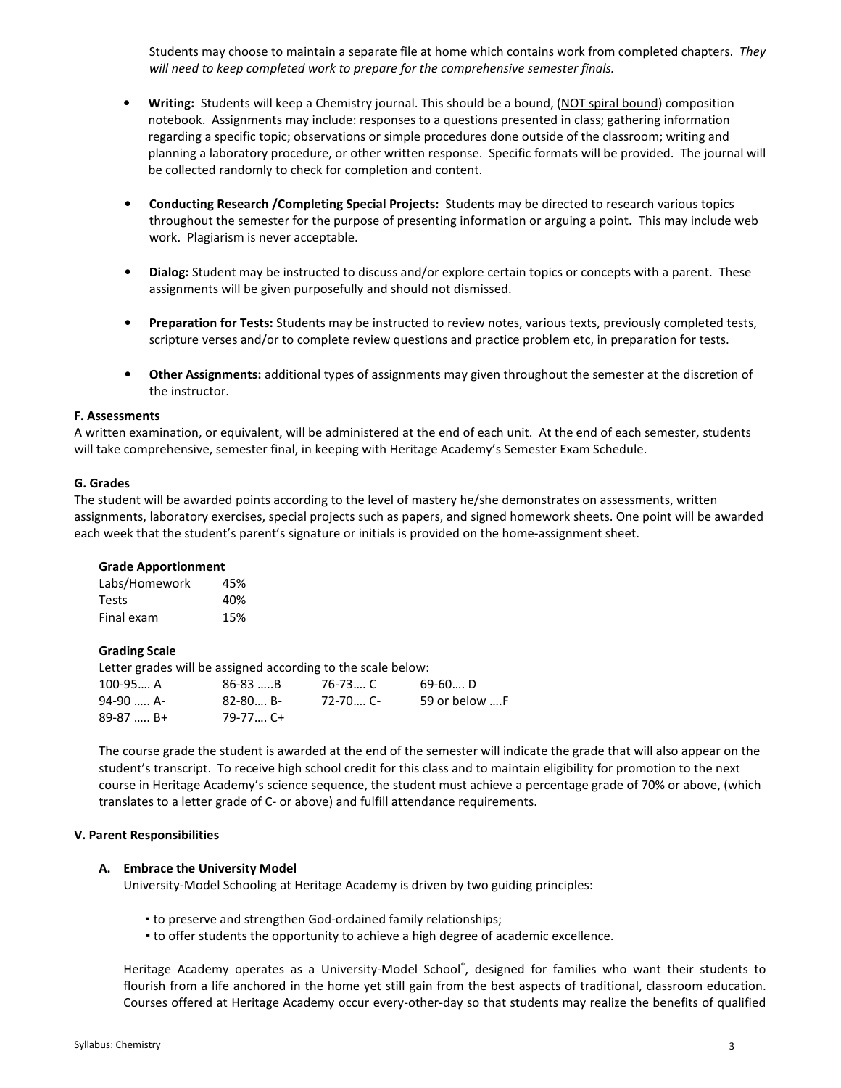Students may choose to maintain a separate file at home which contains work from completed chapters. They will need to keep completed work to prepare for the comprehensive semester finals.

- Writing: Students will keep a Chemistry journal. This should be a bound, (NOT spiral bound) composition notebook. Assignments may include: responses to a questions presented in class; gathering information regarding a specific topic; observations or simple procedures done outside of the classroom; writing and planning a laboratory procedure, or other written response. Specific formats will be provided. The journal will be collected randomly to check for completion and content.
- Conducting Research /Completing Special Projects: Students may be directed to research various topics throughout the semester for the purpose of presenting information or arguing a point. This may include web work. Plagiarism is never acceptable.
- Dialog: Student may be instructed to discuss and/or explore certain topics or concepts with a parent. These assignments will be given purposefully and should not dismissed.
- Preparation for Tests: Students may be instructed to review notes, various texts, previously completed tests, scripture verses and/or to complete review questions and practice problem etc, in preparation for tests.
- Other Assignments: additional types of assignments may given throughout the semester at the discretion of the instructor.

#### F. Assessments

A written examination, or equivalent, will be administered at the end of each unit. At the end of each semester, students will take comprehensive, semester final, in keeping with Heritage Academy's Semester Exam Schedule.

#### G. Grades

The student will be awarded points according to the level of mastery he/she demonstrates on assessments, written assignments, laboratory exercises, special projects such as papers, and signed homework sheets. One point will be awarded each week that the student's parent's signature or initials is provided on the home-assignment sheet.

#### Grade Apportionment

| Labs/Homework | 45% |
|---------------|-----|
| <b>Tests</b>  | 40% |
| Final exam    | 15% |

#### Grading Scale

Letter grades will be assigned according to the scale below: 100-95…. A 86-83 …..B 76-73…. C 69-60…. D 94-90 ….. A- 82-80…. B- 72-70…. C- 59 or below ….F 89-87 ….. B+ 79-77…. C+

The course grade the student is awarded at the end of the semester will indicate the grade that will also appear on the student's transcript. To receive high school credit for this class and to maintain eligibility for promotion to the next course in Heritage Academy's science sequence, the student must achieve a percentage grade of 70% or above, (which translates to a letter grade of C- or above) and fulfill attendance requirements.

#### V. Parent Responsibilities

#### A. Embrace the University Model

University-Model Schooling at Heritage Academy is driven by two guiding principles:

- to preserve and strengthen God-ordained family relationships;
- to offer students the opportunity to achieve a high degree of academic excellence.

Heritage Academy operates as a University-Model School®, designed for families who want their students to flourish from a life anchored in the home yet still gain from the best aspects of traditional, classroom education. Courses offered at Heritage Academy occur every-other-day so that students may realize the benefits of qualified